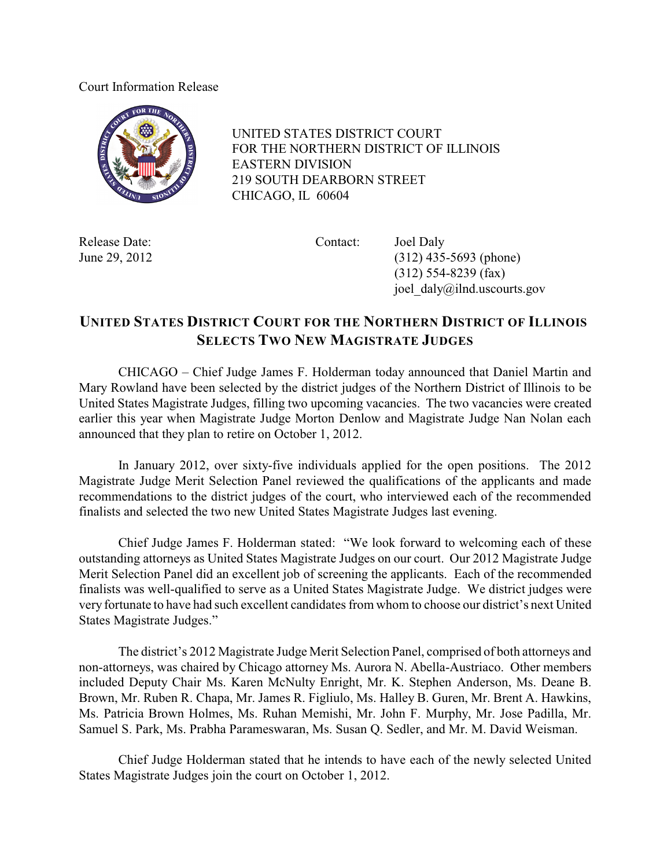## Court Information Release



 UNITED STATES DISTRICT COURT FOR THE NORTHERN DISTRICT OF ILLINOIS EASTERN DIVISION 219 SOUTH DEARBORN STREET CHICAGO, IL 60604

Release Date: Contact: Joel Daly

June 29, 2012 (312) 435-5693 (phone) (312) 554-8239 (fax) joel\_daly@ilnd.uscourts.gov

## **UNITED STATES DISTRICT COURT FOR THE NORTHERN DISTRICT OF ILLINOIS SELECTS TWO NEW MAGISTRATE JUDGES**

CHICAGO – Chief Judge James F. Holderman today announced that Daniel Martin and Mary Rowland have been selected by the district judges of the Northern District of Illinois to be United States Magistrate Judges, filling two upcoming vacancies. The two vacancies were created earlier this year when Magistrate Judge Morton Denlow and Magistrate Judge Nan Nolan each announced that they plan to retire on October 1, 2012.

In January 2012, over sixty-five individuals applied for the open positions. The 2012 Magistrate Judge Merit Selection Panel reviewed the qualifications of the applicants and made recommendations to the district judges of the court, who interviewed each of the recommended finalists and selected the two new United States Magistrate Judges last evening.

Chief Judge James F. Holderman stated: "We look forward to welcoming each of these outstanding attorneys as United States Magistrate Judges on our court. Our 2012 Magistrate Judge Merit Selection Panel did an excellent job of screening the applicants. Each of the recommended finalists was well-qualified to serve as a United States Magistrate Judge. We district judges were very fortunate to have had such excellent candidates from whom to choose our district's next United States Magistrate Judges."

The district's 2012 Magistrate Judge Merit Selection Panel, comprised of both attorneys and non-attorneys, was chaired by Chicago attorney Ms. Aurora N. Abella-Austriaco. Other members included Deputy Chair Ms. Karen McNulty Enright, Mr. K. Stephen Anderson, Ms. Deane B. Brown, Mr. Ruben R. Chapa, Mr. James R. Figliulo, Ms. Halley B. Guren, Mr. Brent A. Hawkins, Ms. Patricia Brown Holmes, Ms. Ruhan Memishi, Mr. John F. Murphy, Mr. Jose Padilla, Mr. Samuel S. Park, Ms. Prabha Parameswaran, Ms. Susan Q. Sedler, and Mr. M. David Weisman.

Chief Judge Holderman stated that he intends to have each of the newly selected United States Magistrate Judges join the court on October 1, 2012.